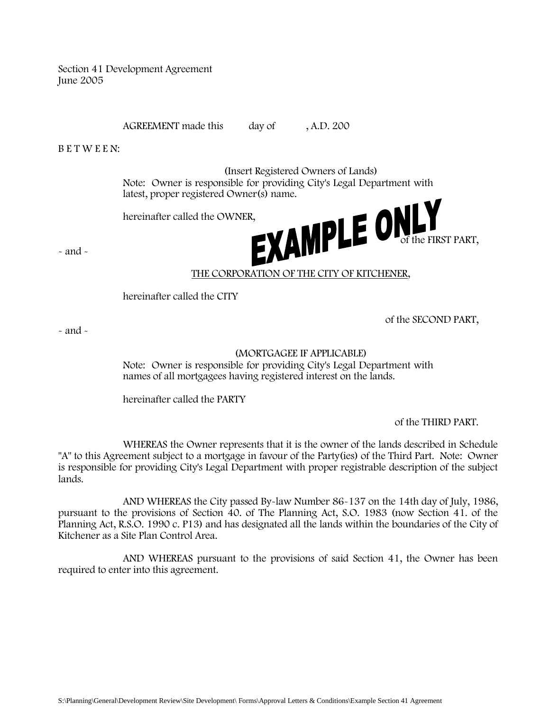Section 41 Development Agreement June 2005

AGREEMENT made this day of , A.D. 200

B E T W E E N:

(Insert Registered Owners of Lands) Note: Owner is responsible for providing City's Legal Department with

hereinafter called the OWNER,



 $\sim$  and  $\sim$ 

# THE CORPORATION OF THE CITY OF KITCHENER,

hereinafter called the CITY

of the SECOND PART,

 $\sim$  and  $\sim$ 

# (MORTGAGEE IF APPLICABLE)

Note: Owner is responsible for providing City's Legal Department with names of all mortgagees having registered interest on the lands.

hereinafter called the PARTY

of the THIRD PART.

WHEREAS the Owner represents that it is the owner of the lands described in Schedule "A" to this Agreement subject to a mortgage in favour of the Party(ies) of the Third Part. Note: Owner is responsible for providing City's Legal Department with proper registrable description of the subject lands.

AND WHEREAS the City passed By-law Number 86-137 on the 14th day of July, 1986, pursuant to the provisions of Section 40. of The Planning Act, S.O. 1983 (now Section 41. of the Planning Act, R.S.O. 1990 c. P13) and has designated all the lands within the boundaries of the City of Kitchener as a Site Plan Control Area.

AND WHEREAS pursuant to the provisions of said Section 41, the Owner has been required to enter into this agreement.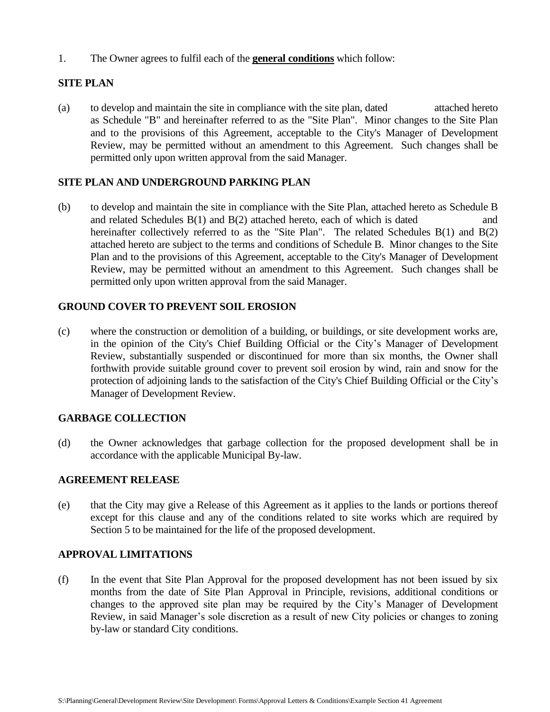1. The Owner agrees to fulfil each of the **general conditions** which follow:

# **SITE PLAN**

(a) to develop and maintain the site in compliance with the site plan, dated attached hereto as Schedule "B" and hereinafter referred to as the "Site Plan". Minor changes to the Site Plan and to the provisions of this Agreement, acceptable to the City's Manager of Development Review, may be permitted without an amendment to this Agreement. Such changes shall be permitted only upon written approval from the said Manager.

## **SITE PLAN AND UNDERGROUND PARKING PLAN**

(b) to develop and maintain the site in compliance with the Site Plan, attached hereto as Schedule B and related Schedules  $B(1)$  and  $B(2)$  attached hereto, each of which is dated and hereinafter collectively referred to as the "Site Plan". The related Schedules B(1) and B(2) attached hereto are subject to the terms and conditions of Schedule B. Minor changes to the Site Plan and to the provisions of this Agreement, acceptable to the City's Manager of Development Review, may be permitted without an amendment to this Agreement. Such changes shall be permitted only upon written approval from the said Manager.

# **GROUND COVER TO PREVENT SOIL EROSION**

(c) where the construction or demolition of a building, or buildings, or site development works are, in the opinion of the City's Chief Building Official or the City's Manager of Development Review, substantially suspended or discontinued for more than six months, the Owner shall forthwith provide suitable ground cover to prevent soil erosion by wind, rain and snow for the protection of adjoining lands to the satisfaction of the City's Chief Building Official or the City's Manager of Development Review.

# **GARBAGE COLLECTION**

(d) the Owner acknowledges that garbage collection for the proposed development shall be in accordance with the applicable Municipal By-law.

## **AGREEMENT RELEASE**

(e) that the City may give a Release of this Agreement as it applies to the lands or portions thereof except for this clause and any of the conditions related to site works which are required by Section 5 to be maintained for the life of the proposed development.

## **APPROVAL LIMITATIONS**

(f) In the event that Site Plan Approval for the proposed development has not been issued by six months from the date of Site Plan Approval in Principle, revisions, additional conditions or changes to the approved site plan may be required by the City's Manager of Development Review, in said Manager's sole discretion as a result of new City policies or changes to zoning by-law or standard City conditions.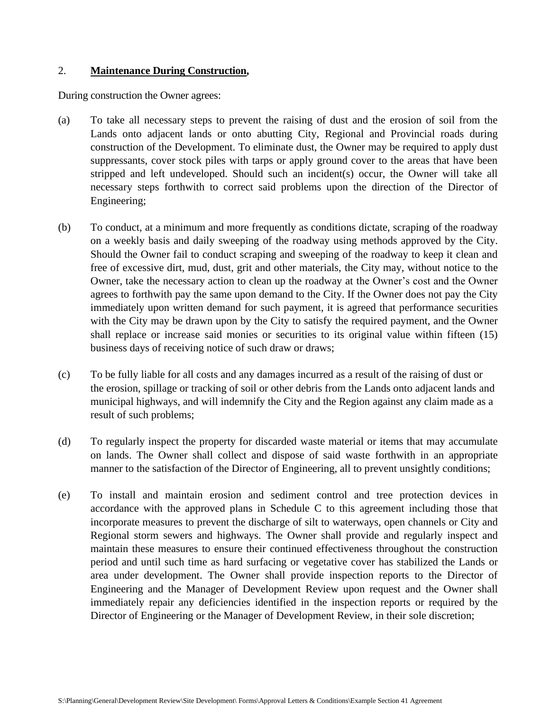#### 2. **Maintenance During Construction,**

During construction the Owner agrees:

- (a) To take all necessary steps to prevent the raising of dust and the erosion of soil from the Lands onto adjacent lands or onto abutting City, Regional and Provincial roads during construction of the Development. To eliminate dust, the Owner may be required to apply dust suppressants, cover stock piles with tarps or apply ground cover to the areas that have been stripped and left undeveloped. Should such an incident(s) occur, the Owner will take all necessary steps forthwith to correct said problems upon the direction of the Director of Engineering;
- (b) To conduct, at a minimum and more frequently as conditions dictate, scraping of the roadway on a weekly basis and daily sweeping of the roadway using methods approved by the City. Should the Owner fail to conduct scraping and sweeping of the roadway to keep it clean and free of excessive dirt, mud, dust, grit and other materials, the City may, without notice to the Owner, take the necessary action to clean up the roadway at the Owner's cost and the Owner agrees to forthwith pay the same upon demand to the City. If the Owner does not pay the City immediately upon written demand for such payment, it is agreed that performance securities with the City may be drawn upon by the City to satisfy the required payment, and the Owner shall replace or increase said monies or securities to its original value within fifteen (15) business days of receiving notice of such draw or draws;
- (c) To be fully liable for all costs and any damages incurred as a result of the raising of dust or the erosion, spillage or tracking of soil or other debris from the Lands onto adjacent lands and municipal highways, and will indemnify the City and the Region against any claim made as a result of such problems;
- (d) To regularly inspect the property for discarded waste material or items that may accumulate on lands. The Owner shall collect and dispose of said waste forthwith in an appropriate manner to the satisfaction of the Director of Engineering, all to prevent unsightly conditions;
- (e) To install and maintain erosion and sediment control and tree protection devices in accordance with the approved plans in Schedule C to this agreement including those that incorporate measures to prevent the discharge of silt to waterways, open channels or City and Regional storm sewers and highways. The Owner shall provide and regularly inspect and maintain these measures to ensure their continued effectiveness throughout the construction period and until such time as hard surfacing or vegetative cover has stabilized the Lands or area under development. The Owner shall provide inspection reports to the Director of Engineering and the Manager of Development Review upon request and the Owner shall immediately repair any deficiencies identified in the inspection reports or required by the Director of Engineering or the Manager of Development Review, in their sole discretion;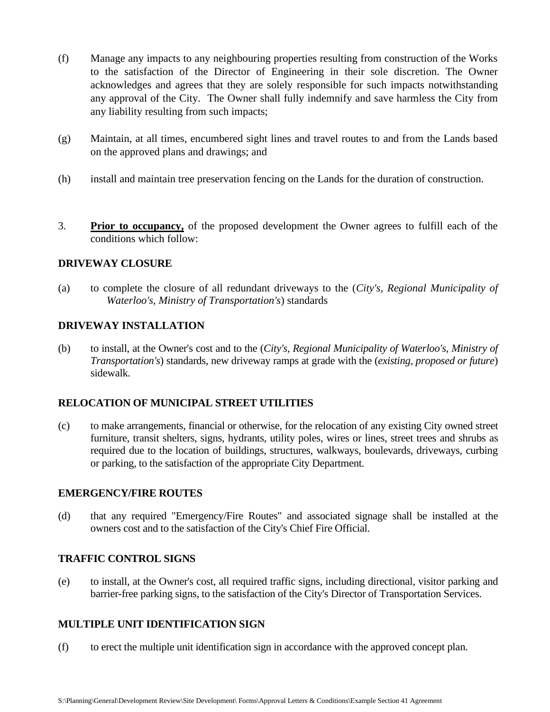- (f) Manage any impacts to any neighbouring properties resulting from construction of the Works to the satisfaction of the Director of Engineering in their sole discretion. The Owner acknowledges and agrees that they are solely responsible for such impacts notwithstanding any approval of the City. The Owner shall fully indemnify and save harmless the City from any liability resulting from such impacts;
- (g) Maintain, at all times, encumbered sight lines and travel routes to and from the Lands based on the approved plans and drawings; and
- (h) install and maintain tree preservation fencing on the Lands for the duration of construction.
- 3. **Prior to occupancy,** of the proposed development the Owner agrees to fulfill each of the conditions which follow:

## **DRIVEWAY CLOSURE**

(a) to complete the closure of all redundant driveways to the (*City's, Regional Municipality of Waterloo's, Ministry of Transportation's*) standards

## **DRIVEWAY INSTALLATION**

(b) to install, at the Owner's cost and to the (*City's, Regional Municipality of Waterloo's, Ministry of Transportation's*) standards, new driveway ramps at grade with the (*existing, proposed or future*) sidewalk.

## **RELOCATION OF MUNICIPAL STREET UTILITIES**

(c) to make arrangements, financial or otherwise, for the relocation of any existing City owned street furniture, transit shelters, signs, hydrants, utility poles, wires or lines, street trees and shrubs as required due to the location of buildings, structures, walkways, boulevards, driveways, curbing or parking, to the satisfaction of the appropriate City Department.

## **EMERGENCY/FIRE ROUTES**

(d) that any required "Emergency/Fire Routes" and associated signage shall be installed at the owners cost and to the satisfaction of the City's Chief Fire Official.

## **TRAFFIC CONTROL SIGNS**

(e) to install, at the Owner's cost, all required traffic signs, including directional, visitor parking and barrier-free parking signs, to the satisfaction of the City's Director of Transportation Services.

# **MULTIPLE UNIT IDENTIFICATION SIGN**

(f) to erect the multiple unit identification sign in accordance with the approved concept plan.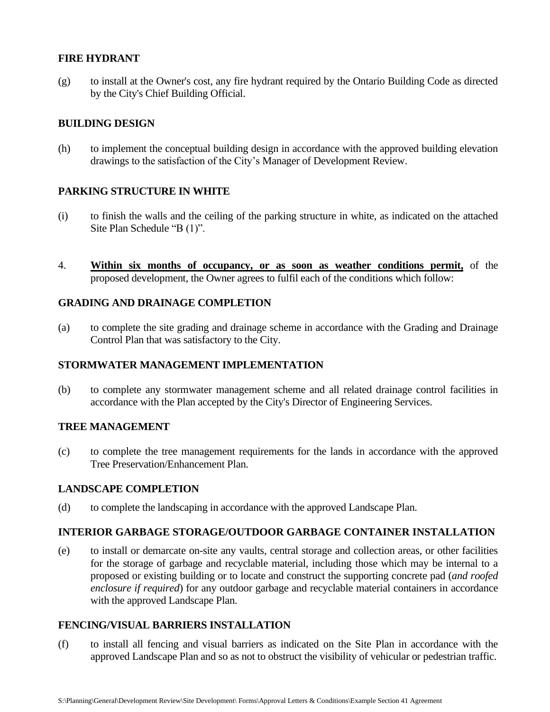## **FIRE HYDRANT**

(g) to install at the Owner's cost, any fire hydrant required by the Ontario Building Code as directed by the City's Chief Building Official.

## **BUILDING DESIGN**

(h) to implement the conceptual building design in accordance with the approved building elevation drawings to the satisfaction of the City's Manager of Development Review.

## **PARKING STRUCTURE IN WHITE**

- (i) to finish the walls and the ceiling of the parking structure in white, as indicated on the attached Site Plan Schedule "B (1)".
- 4. **Within six months of occupancy, or as soon as weather conditions permit,** of the proposed development, the Owner agrees to fulfil each of the conditions which follow:

## **GRADING AND DRAINAGE COMPLETION**

(a) to complete the site grading and drainage scheme in accordance with the Grading and Drainage Control Plan that was satisfactory to the City.

## **STORMWATER MANAGEMENT IMPLEMENTATION**

(b) to complete any stormwater management scheme and all related drainage control facilities in accordance with the Plan accepted by the City's Director of Engineering Services.

## **TREE MANAGEMENT**

(c) to complete the tree management requirements for the lands in accordance with the approved Tree Preservation/Enhancement Plan.

## **LANDSCAPE COMPLETION**

(d) to complete the landscaping in accordance with the approved Landscape Plan.

# **INTERIOR GARBAGE STORAGE/OUTDOOR GARBAGE CONTAINER INSTALLATION**

(e) to install or demarcate on-site any vaults, central storage and collection areas, or other facilities for the storage of garbage and recyclable material, including those which may be internal to a proposed or existing building or to locate and construct the supporting concrete pad (*and roofed enclosure if required*) for any outdoor garbage and recyclable material containers in accordance with the approved Landscape Plan.

## **FENCING/VISUAL BARRIERS INSTALLATION**

(f) to install all fencing and visual barriers as indicated on the Site Plan in accordance with the approved Landscape Plan and so as not to obstruct the visibility of vehicular or pedestrian traffic.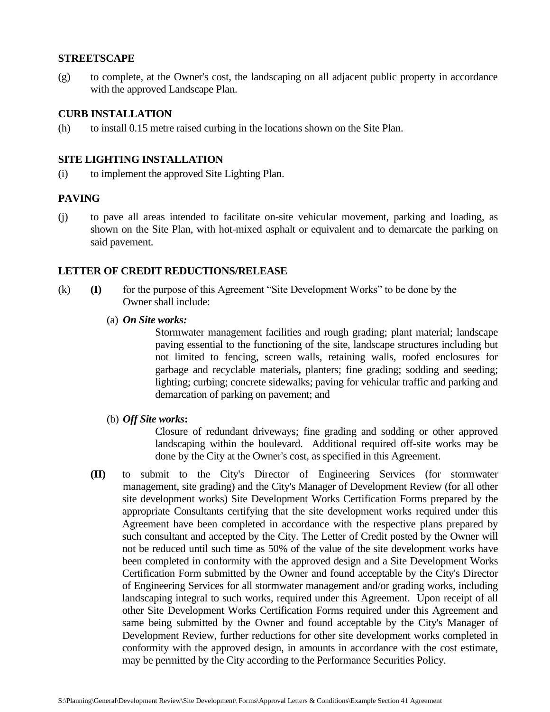#### **STREETSCAPE**

(g) to complete, at the Owner's cost, the landscaping on all adjacent public property in accordance with the approved Landscape Plan.

## **CURB INSTALLATION**

(h) to install 0.15 metre raised curbing in the locations shown on the Site Plan.

#### **SITE LIGHTING INSTALLATION**

(i) to implement the approved Site Lighting Plan.

## **PAVING**

(j) to pave all areas intended to facilitate on-site vehicular movement, parking and loading, as shown on the Site Plan, with hot-mixed asphalt or equivalent and to demarcate the parking on said pavement.

#### **LETTER OF CREDIT REDUCTIONS/RELEASE**

- (k) **(I)** for the purpose of this Agreement "Site Development Works" to be done by the Owner shall include:
	- (a) *On Site works:*

Stormwater management facilities and rough grading; plant material; landscape paving essential to the functioning of the site, landscape structures including but not limited to fencing, screen walls, retaining walls, roofed enclosures for garbage and recyclable materials**,** planters; fine grading; sodding and seeding; lighting; curbing; concrete sidewalks; paving for vehicular traffic and parking and demarcation of parking on pavement; and

(b) *Off Site works***:**

Closure of redundant driveways; fine grading and sodding or other approved landscaping within the boulevard. Additional required off-site works may be done by the City at the Owner's cost, as specified in this Agreement.

**(II)** to submit to the City's Director of Engineering Services (for stormwater management, site grading) and the City's Manager of Development Review (for all other site development works) Site Development Works Certification Forms prepared by the appropriate Consultants certifying that the site development works required under this Agreement have been completed in accordance with the respective plans prepared by such consultant and accepted by the City. The Letter of Credit posted by the Owner will not be reduced until such time as 50% of the value of the site development works have been completed in conformity with the approved design and a Site Development Works Certification Form submitted by the Owner and found acceptable by the City's Director of Engineering Services for all stormwater management and/or grading works, including landscaping integral to such works, required under this Agreement. Upon receipt of all other Site Development Works Certification Forms required under this Agreement and same being submitted by the Owner and found acceptable by the City's Manager of Development Review, further reductions for other site development works completed in conformity with the approved design, in amounts in accordance with the cost estimate, may be permitted by the City according to the Performance Securities Policy.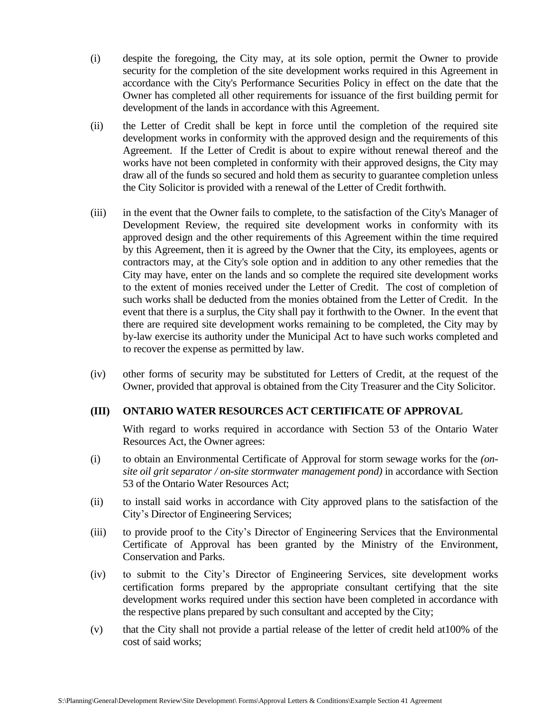- (i) despite the foregoing, the City may, at its sole option, permit the Owner to provide security for the completion of the site development works required in this Agreement in accordance with the City's Performance Securities Policy in effect on the date that the Owner has completed all other requirements for issuance of the first building permit for development of the lands in accordance with this Agreement.
- (ii) the Letter of Credit shall be kept in force until the completion of the required site development works in conformity with the approved design and the requirements of this Agreement. If the Letter of Credit is about to expire without renewal thereof and the works have not been completed in conformity with their approved designs, the City may draw all of the funds so secured and hold them as security to guarantee completion unless the City Solicitor is provided with a renewal of the Letter of Credit forthwith.
- (iii) in the event that the Owner fails to complete, to the satisfaction of the City's Manager of Development Review, the required site development works in conformity with its approved design and the other requirements of this Agreement within the time required by this Agreement, then it is agreed by the Owner that the City, its employees, agents or contractors may, at the City's sole option and in addition to any other remedies that the City may have, enter on the lands and so complete the required site development works to the extent of monies received under the Letter of Credit. The cost of completion of such works shall be deducted from the monies obtained from the Letter of Credit. In the event that there is a surplus, the City shall pay it forthwith to the Owner. In the event that there are required site development works remaining to be completed, the City may by by-law exercise its authority under the Municipal Act to have such works completed and to recover the expense as permitted by law.
- (iv) other forms of security may be substituted for Letters of Credit, at the request of the Owner, provided that approval is obtained from the City Treasurer and the City Solicitor.

## **(III) ONTARIO WATER RESOURCES ACT CERTIFICATE OF APPROVAL**

With regard to works required in accordance with Section 53 of the Ontario Water Resources Act, the Owner agrees:

- (i) to obtain an Environmental Certificate of Approval for storm sewage works for the *(onsite oil grit separator / on-site stormwater management pond)* in accordance with Section 53 of the Ontario Water Resources Act;
- (ii) to install said works in accordance with City approved plans to the satisfaction of the City's Director of Engineering Services;
- (iii) to provide proof to the City's Director of Engineering Services that the Environmental Certificate of Approval has been granted by the Ministry of the Environment, Conservation and Parks.
- (iv) to submit to the City's Director of Engineering Services, site development works certification forms prepared by the appropriate consultant certifying that the site development works required under this section have been completed in accordance with the respective plans prepared by such consultant and accepted by the City;
- (v) that the City shall not provide a partial release of the letter of credit held at100% of the cost of said works;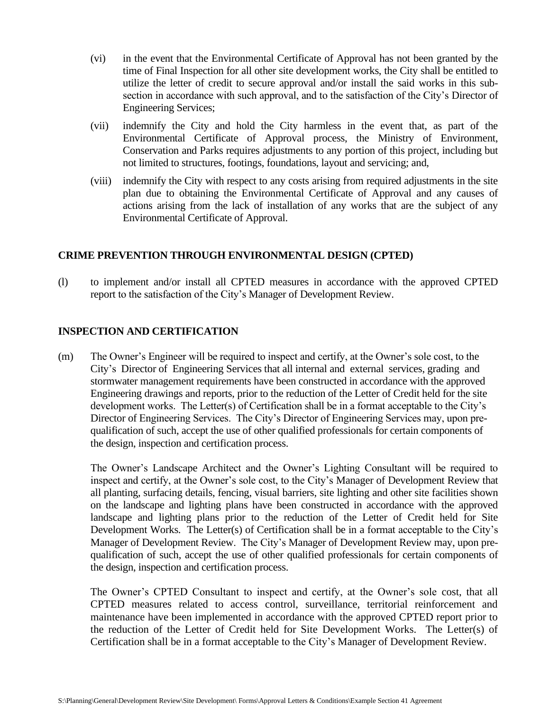- (vi) in the event that the Environmental Certificate of Approval has not been granted by the time of Final Inspection for all other site development works, the City shall be entitled to utilize the letter of credit to secure approval and/or install the said works in this subsection in accordance with such approval, and to the satisfaction of the City's Director of Engineering Services;
- (vii) indemnify the City and hold the City harmless in the event that, as part of the Environmental Certificate of Approval process, the Ministry of Environment, Conservation and Parks requires adjustments to any portion of this project, including but not limited to structures, footings, foundations, layout and servicing; and,
- (viii) indemnify the City with respect to any costs arising from required adjustments in the site plan due to obtaining the Environmental Certificate of Approval and any causes of actions arising from the lack of installation of any works that are the subject of any Environmental Certificate of Approval.

## **CRIME PREVENTION THROUGH ENVIRONMENTAL DESIGN (CPTED)**

(l) to implement and/or install all CPTED measures in accordance with the approved CPTED report to the satisfaction of the City's Manager of Development Review.

## **INSPECTION AND CERTIFICATION**

(m) The Owner's Engineer will be required to inspect and certify, at the Owner's sole cost, to the City's Director of Engineering Services that all internal and external services, grading and stormwater management requirements have been constructed in accordance with the approved Engineering drawings and reports, prior to the reduction of the Letter of Credit held for the site development works. The Letter(s) of Certification shall be in a format acceptable to the City's Director of Engineering Services. The City's Director of Engineering Services may, upon prequalification of such, accept the use of other qualified professionals for certain components of the design, inspection and certification process.

The Owner's Landscape Architect and the Owner's Lighting Consultant will be required to inspect and certify, at the Owner's sole cost, to the City's Manager of Development Review that all planting, surfacing details, fencing, visual barriers, site lighting and other site facilities shown on the landscape and lighting plans have been constructed in accordance with the approved landscape and lighting plans prior to the reduction of the Letter of Credit held for Site Development Works. The Letter(s) of Certification shall be in a format acceptable to the City's Manager of Development Review. The City's Manager of Development Review may, upon prequalification of such, accept the use of other qualified professionals for certain components of the design, inspection and certification process.

The Owner's CPTED Consultant to inspect and certify, at the Owner's sole cost, that all CPTED measures related to access control, surveillance, territorial reinforcement and maintenance have been implemented in accordance with the approved CPTED report prior to the reduction of the Letter of Credit held for Site Development Works. The Letter(s) of Certification shall be in a format acceptable to the City's Manager of Development Review.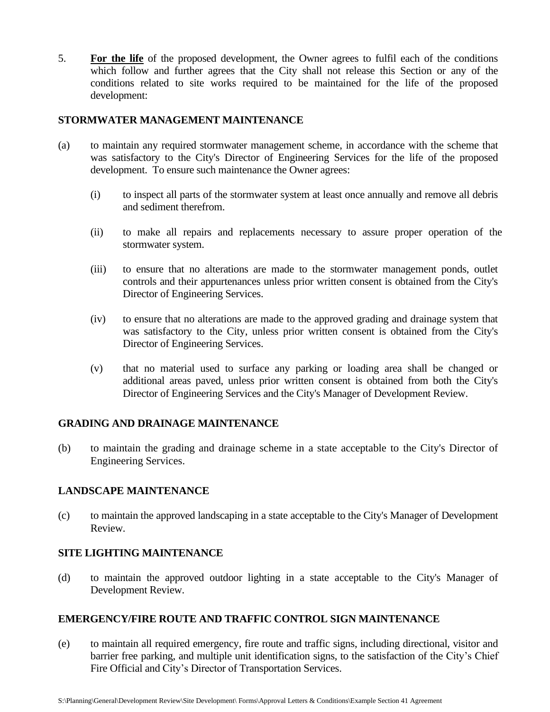5. **For the life** of the proposed development, the Owner agrees to fulfil each of the conditions which follow and further agrees that the City shall not release this Section or any of the conditions related to site works required to be maintained for the life of the proposed development:

## **STORMWATER MANAGEMENT MAINTENANCE**

- (a) to maintain any required stormwater management scheme, in accordance with the scheme that was satisfactory to the City's Director of Engineering Services for the life of the proposed development. To ensure such maintenance the Owner agrees:
	- (i) to inspect all parts of the stormwater system at least once annually and remove all debris and sediment therefrom.
	- (ii) to make all repairs and replacements necessary to assure proper operation of the stormwater system.
	- (iii) to ensure that no alterations are made to the stormwater management ponds, outlet controls and their appurtenances unless prior written consent is obtained from the City's Director of Engineering Services.
	- (iv) to ensure that no alterations are made to the approved grading and drainage system that was satisfactory to the City, unless prior written consent is obtained from the City's Director of Engineering Services.
	- (v) that no material used to surface any parking or loading area shall be changed or additional areas paved, unless prior written consent is obtained from both the City's Director of Engineering Services and the City's Manager of Development Review.

## **GRADING AND DRAINAGE MAINTENANCE**

(b) to maintain the grading and drainage scheme in a state acceptable to the City's Director of Engineering Services.

## **LANDSCAPE MAINTENANCE**

(c) to maintain the approved landscaping in a state acceptable to the City's Manager of Development Review.

## **SITE LIGHTING MAINTENANCE**

 (d) to maintain the approved outdoor lighting in a state acceptable to the City's Manager of Development Review.

## **EMERGENCY/FIRE ROUTE AND TRAFFIC CONTROL SIGN MAINTENANCE**

(e) to maintain all required emergency, fire route and traffic signs, including directional, visitor and barrier free parking, and multiple unit identification signs, to the satisfaction of the City's Chief Fire Official and City's Director of Transportation Services.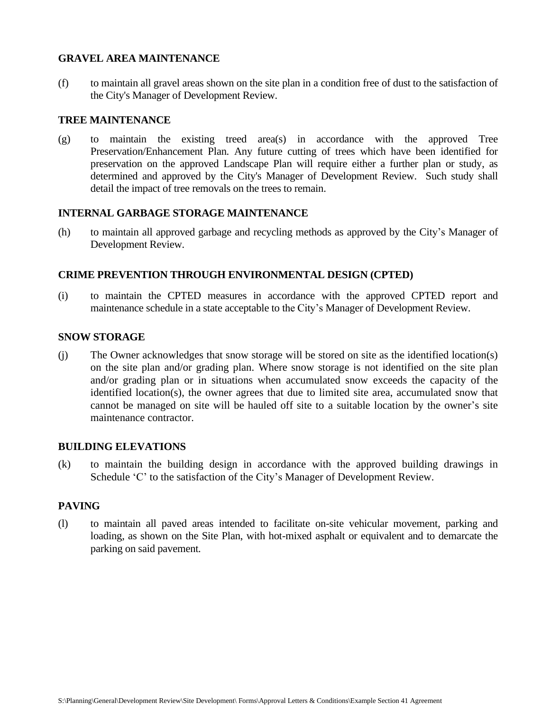## **GRAVEL AREA MAINTENANCE**

(f) to maintain all gravel areas shown on the site plan in a condition free of dust to the satisfaction of the City's Manager of Development Review.

### **TREE MAINTENANCE**

(g) to maintain the existing treed area(s) in accordance with the approved Tree Preservation/Enhancement Plan. Any future cutting of trees which have been identified for preservation on the approved Landscape Plan will require either a further plan or study, as determined and approved by the City's Manager of Development Review. Such study shall detail the impact of tree removals on the trees to remain.

## **INTERNAL GARBAGE STORAGE MAINTENANCE**

(h) to maintain all approved garbage and recycling methods as approved by the City's Manager of Development Review.

## **CRIME PREVENTION THROUGH ENVIRONMENTAL DESIGN (CPTED)**

(i) to maintain the CPTED measures in accordance with the approved CPTED report and maintenance schedule in a state acceptable to the City's Manager of Development Review.

#### **SNOW STORAGE**

(j) The Owner acknowledges that snow storage will be stored on site as the identified location(s) on the site plan and/or grading plan. Where snow storage is not identified on the site plan and/or grading plan or in situations when accumulated snow exceeds the capacity of the identified location(s), the owner agrees that due to limited site area, accumulated snow that cannot be managed on site will be hauled off site to a suitable location by the owner's site maintenance contractor.

#### **BUILDING ELEVATIONS**

(k) to maintain the building design in accordance with the approved building drawings in Schedule 'C' to the satisfaction of the City's Manager of Development Review.

## **PAVING**

(l) to maintain all paved areas intended to facilitate on-site vehicular movement, parking and loading, as shown on the Site Plan, with hot-mixed asphalt or equivalent and to demarcate the parking on said pavement.